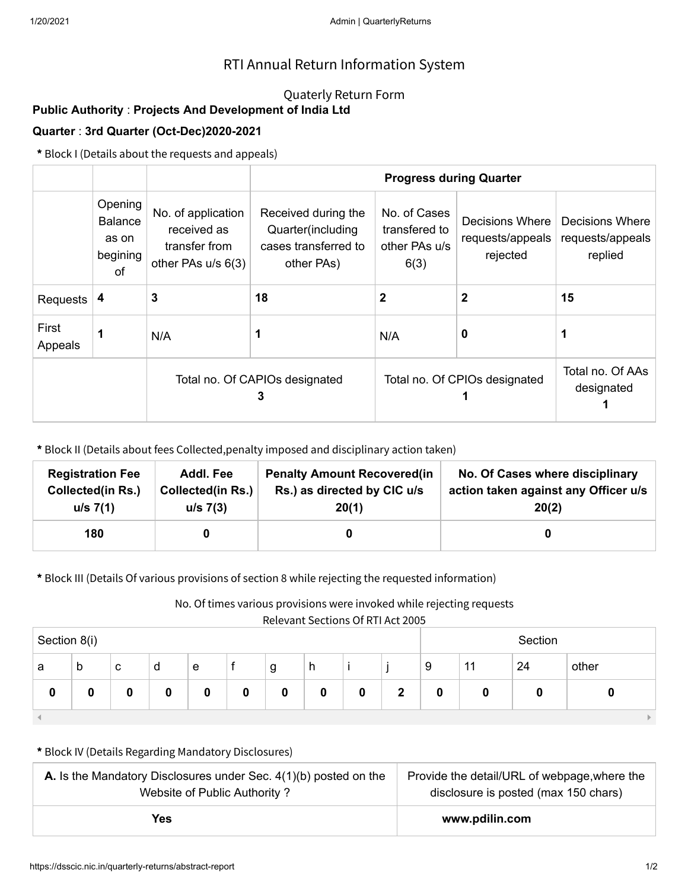## RTI Annual Return Information System

### Quaterly Return Form

# **Public Authority** : **Projects And Development of India Ltd**

### **Quarter** : **3rd Quarter (Oct-Dec)2020-2021**

**\*** Block I (Details about the requests and appeals)

|                  |                                                      |                                                                          | <b>Progress during Quarter</b>                                                         |                               |                                                                                                   |    |  |  |
|------------------|------------------------------------------------------|--------------------------------------------------------------------------|----------------------------------------------------------------------------------------|-------------------------------|---------------------------------------------------------------------------------------------------|----|--|--|
|                  | Opening<br><b>Balance</b><br>as on<br>begining<br>of | No. of application<br>received as<br>transfer from<br>other PAs u/s 6(3) | Received during the<br>Quarter(including<br>cases transferred to<br>6(3)<br>other PAs) |                               | No. of Cases<br>Decisions Where<br>transfered to<br>requests/appeals<br>other PAs u/s<br>rejected |    |  |  |
| Requests         | 4                                                    | 3                                                                        | 18                                                                                     | 2                             | 2                                                                                                 | 15 |  |  |
| First<br>Appeals |                                                      | N/A                                                                      |                                                                                        | N/A                           | 0                                                                                                 |    |  |  |
|                  |                                                      | Total no. Of CAPIOs designated<br>3                                      |                                                                                        | Total no. Of CPIOs designated | Total no. Of AAs<br>designated                                                                    |    |  |  |

**\*** Block II (Details about fees Collected,penalty imposed and disciplinary action taken)

| <b>Registration Fee</b>  | Addl. Fee                | <b>Penalty Amount Recovered (in</b> | No. Of Cases where disciplinary      |
|--------------------------|--------------------------|-------------------------------------|--------------------------------------|
| <b>Collected(in Rs.)</b> | <b>Collected(in Rs.)</b> | Rs.) as directed by CIC u/s         | action taken against any Officer u/s |
| u/s 7(1)                 | u/s 7(3)                 | 20(1)                               | 20(2)                                |
| 180                      |                          |                                     |                                      |

**\*** Block III (Details Of various provisions of section 8 while rejecting the requested information)

No. Of times various provisions were invoked while rejecting requests

| Section 8(i) |   |   |   |   |   | Section |   |   |   |   |    |    |       |
|--------------|---|---|---|---|---|---------|---|---|---|---|----|----|-------|
| a            | b | с | d | e |   | g       | h |   |   | 9 | 11 | 24 | other |
| 0            |   |   | 0 |   | 0 | 0       |   | 0 | 2 |   |    |    |       |
|              |   |   |   |   |   |         |   |   |   |   |    |    |       |

#### **\*** Block IV (Details Regarding Mandatory Disclosures)

| <b>A.</b> Is the Mandatory Disclosures under Sec. $4(1)(b)$ posted on the | Provide the detail/URL of webpage, where the |  |  |  |
|---------------------------------------------------------------------------|----------------------------------------------|--|--|--|
| Website of Public Authority?                                              | disclosure is posted (max 150 chars)         |  |  |  |
| Yes                                                                       | www.pdilin.com                               |  |  |  |